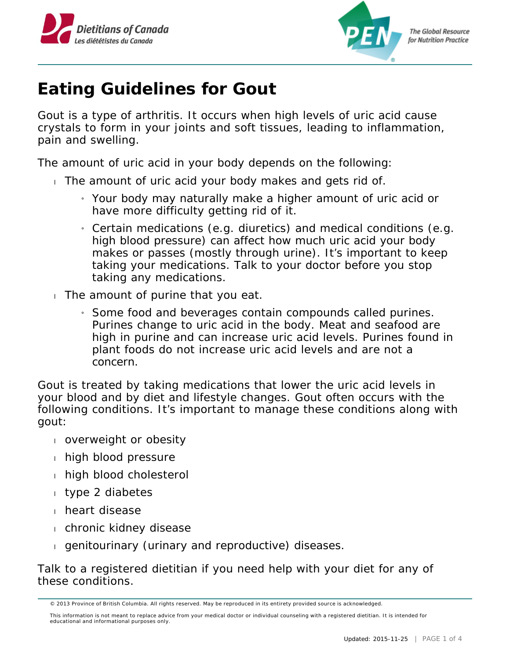



## **Eating Guidelines for Gout**

Gout is a type of arthritis. It occurs when high levels of uric acid cause crystals to form in your joints and soft tissues, leading to inflammation, pain and swelling.

The amount of uric acid in your body depends on the following:

- The amount of uric acid your body makes and gets rid of.
	- » Your body may naturally make a higher amount of uric acid or have more difficulty getting rid of it.
	- » Certain medications (e.g. diuretics) and medical conditions (e.g. high blood pressure) can affect how much uric acid your body makes or passes (mostly through urine). It's important to keep taking your medications. Talk to your doctor before you stop taking any medications.
- $\Box$  The amount of purine that you eat.
	- » Some food and beverages contain compounds called purines. Purines change to uric acid in the body. Meat and seafood are high in purine and can increase uric acid levels. Purines found in plant foods do not increase uric acid levels and are not a concern.

Gout is treated by taking medications that lower the uric acid levels in your blood and by diet and lifestyle changes. Gout often occurs with the following conditions. It's important to manage these conditions along with gout:

- overweight or obesity
- $h$  high blood pressure
- high blood cholesterol
- type 2 diabetes
- **heart disease**
- chronic kidney disease
- genitourinary (urinary and reproductive) diseases.

Talk to a registered dietitian if you need help with your diet for any of these conditions.

<sup>© 2013</sup> Province of British Columbia. All rights reserved. May be reproduced in its entirety provided source is acknowledged.

This information is not meant to replace advice from your medical doctor or individual counseling with a registered dietitian. It is intended for educational and informational purposes only.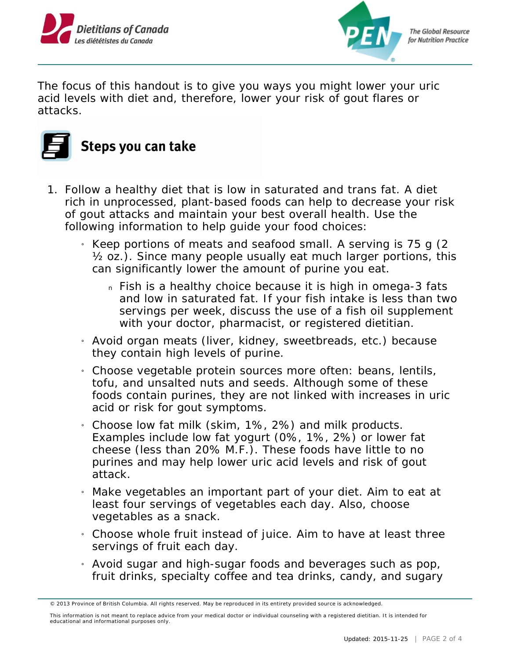



**The Global Resource** for Nutrition Practice

The focus of this handout is to give you ways you might lower your uric acid levels with diet and, therefore, lower your risk of gout flares or attacks.



- 1. Follow a healthy diet that is low in saturated and trans fat. A diet rich in unprocessed, plant-based foods can help to decrease your risk of gout attacks and maintain your best overall health. Use the following information to help guide your food choices:
	- » Keep portions of meats and seafood small. A serving is 75 g (2 ½ oz.). Since many people usually eat much larger portions, this can significantly lower the amount of purine you eat.
		- n Fish is a healthy choice because it is high in omega-3 fats and low in saturated fat. If your fish intake is less than two servings per week, discuss the use of a fish oil supplement with your doctor, pharmacist, or registered dietitian.
	- » Avoid organ meats (liver, kidney, sweetbreads, etc.) because they contain high levels of purine.
	- » Choose vegetable protein sources more often: beans, lentils, tofu, and unsalted nuts and seeds. Although some of these foods contain purines, they are not linked with increases in uric acid or risk for gout symptoms.
	- $_1$  Choose low fat milk (skim, 1%, 2%) and milk products. Examples include low fat yogurt (0%, 1%, 2%) or lower fat cheese (less than 20% M.F.). These foods have little to no purines and may help lower uric acid levels and risk of gout attack.
	- » Make vegetables an important part of your diet. Aim to eat at least four servings of vegetables each day. Also, choose vegetables as a snack.
	- » Choose whole fruit instead of juice. Aim to have at least three servings of fruit each day.
	- » Avoid sugar and high-sugar foods and beverages such as pop, fruit drinks, specialty coffee and tea drinks, candy, and sugary

<sup>© 2013</sup> Province of British Columbia. All rights reserved. May be reproduced in its entirety provided source is acknowledged.

This information is not meant to replace advice from your medical doctor or individual counseling with a registered dietitian. It is intended for educational and informational purposes only.